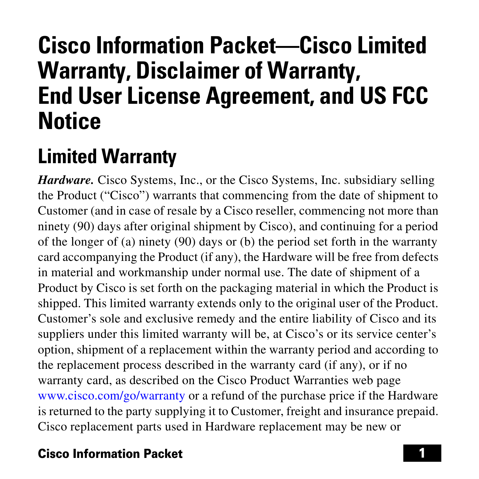# **Cisco Information Packet—Cisco Limited Warranty, Disclaimer of Warranty, End User License Agreement, and US FCC Notice**

# **Limited Warranty**

*Hardware.* Cisco Systems, Inc., or the Cisco Systems, Inc. subsidiary selling the Product ("Cisco") warrants that commencing from the date of shipment to Customer (and in case of resale by a Cisco reseller, commencing not more than ninety (90) days after original shipment by Cisco), and continuing for a period of the longer of (a) ninety (90) days or (b) the period set forth in the warranty card accompanying the Product (if any), the Hardware will be free from defects in material and workmanship under normal use. The date of shipment of a Product by Cisco is set forth on the packaging material in which the Product is shipped. This limited warranty extends only to the original user of the Product. Customer's sole and exclusive remedy and the entire liability of Cisco and its suppliers under this limited warranty will be, at Cisco's or its service center's option, shipment of a replacement within the warranty period and according to the replacement process described in the warranty card (if any), or if no warranty card, as described on the Cisco Product Warranties web page [www.cisco.com/go/warranty](http://www.cisco.com/go/warranty) or a refund of the purchase price if the Hardware is returned to the party supplying it to Customer, freight and insurance prepaid. Cisco replacement parts used in Hardware replacement may be new or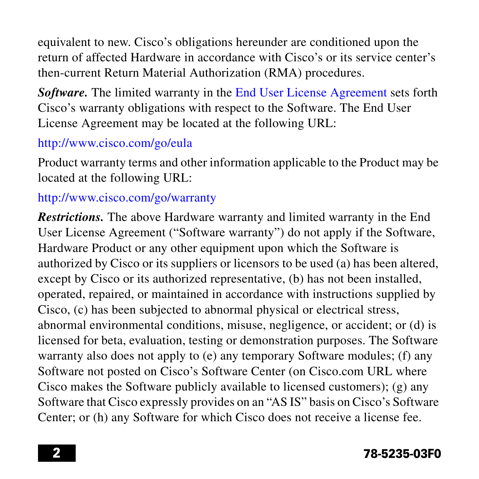equivalent to new. Cisco's obligations hereunder are conditioned upon the return of affected Hardware in accordance with Cisco's or its service center's then-current Return Material Authorization (RMA) procedures.

*Software.* The limited warranty in the [End User License Agreement](#page-3-0) sets forth Cisco's warranty obligations with respect to the Software. The End User License Agreement may be located at the following URL:

### <http://www.cisco.com/go/eula>

Product warranty terms and other information applicable to the Product may be located at the following URL:

#### <http://www.cisco.com/go/warranty>

*Restrictions.* The above Hardware warranty and limited warranty in the End User License Agreement ("Software warranty") do not apply if the Software, Hardware Product or any other equipment upon which the Software is authorized by Cisco or its suppliers or licensors to be used (a) has been altered, except by Cisco or its authorized representative, (b) has not been installed, operated, repaired, or maintained in accordance with instructions supplied by Cisco, (c) has been subjected to abnormal physical or electrical stress, abnormal environmental conditions, misuse, negligence, or accident; or (d) is licensed for beta, evaluation, testing or demonstration purposes. The Software warranty also does not apply to (e) any temporary Software modules; (f) any Software not posted on Cisco's Software Center (on Cisco.com URL where Cisco makes the Software publicly available to licensed customers); (g) any Software that Cisco expressly provides on an "AS IS" basis on Cisco's Software Center; or (h) any Software for which Cisco does not receive a license fee.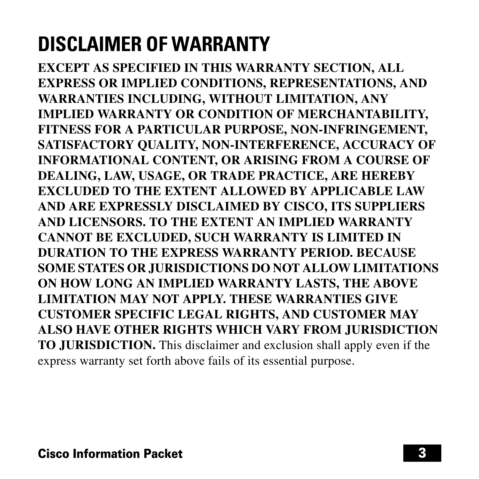# **DISCLAIMER OF WARRANTY**

**EXCEPT AS SPECIFIED IN THIS WARRANTY SECTION, ALL EXPRESS OR IMPLIED CONDITIONS, REPRESENTATIONS, AND WARRANTIES INCLUDING, WITHOUT LIMITATION, ANY IMPLIED WARRANTY OR CONDITION OF MERCHANTABILITY, FITNESS FOR A PARTICULAR PURPOSE, NON-INFRINGEMENT, SATISFACTORY QUALITY, NON-INTERFERENCE, ACCURACY OF INFORMATIONAL CONTENT, OR ARISING FROM A COURSE OF DEALING, LAW, USAGE, OR TRADE PRACTICE, ARE HEREBY EXCLUDED TO THE EXTENT ALLOWED BY APPLICABLE LAW AND ARE EXPRESSLY DISCLAIMED BY CISCO, ITS SUPPLIERS AND LICENSORS. TO THE EXTENT AN IMPLIED WARRANTY CANNOT BE EXCLUDED, SUCH WARRANTY IS LIMITED IN DURATION TO THE EXPRESS WARRANTY PERIOD. BECAUSE SOME STATES OR JURISDICTIONS DO NOT ALLOW LIMITATIONS ON HOW LONG AN IMPLIED WARRANTY LASTS, THE ABOVE LIMITATION MAY NOT APPLY. THESE WARRANTIES GIVE CUSTOMER SPECIFIC LEGAL RIGHTS, AND CUSTOMER MAY ALSO HAVE OTHER RIGHTS WHICH VARY FROM JURISDICTION TO JURISDICTION.** This disclaimer and exclusion shall apply even if the express warranty set forth above fails of its essential purpose.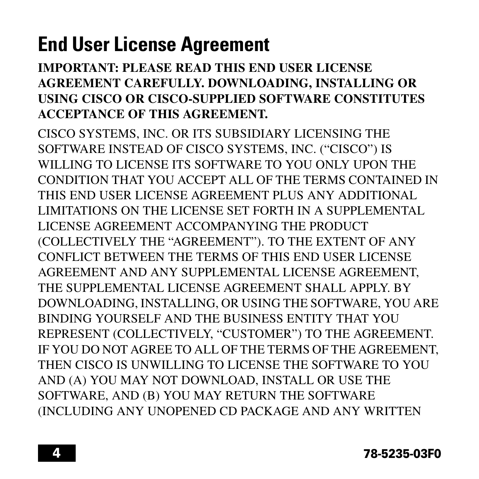# <span id="page-3-0"></span>**End User License Agreement**

### **IMPORTANT: PLEASE READ THIS END USER LICENSE AGREEMENT CAREFULLY. DOWNLOADING, INSTALLING OR USING CISCO OR CISCO-SUPPLIED SOFTWARE CONSTITUTES ACCEPTANCE OF THIS AGREEMENT.**

CISCO SYSTEMS, INC. OR ITS SUBSIDIARY LICENSING THE SOFTWARE INSTEAD OF CISCO SYSTEMS, INC. ("CISCO") IS WILLING TO LICENSE ITS SOFTWARE TO YOU ONLY UPON THE CONDITION THAT YOU ACCEPT ALL OF THE TERMS CONTAINED IN THIS END USER LICENSE AGREEMENT PLUS ANY ADDITIONAL LIMITATIONS ON THE LICENSE SET FORTH IN A SUPPLEMENTAL LICENSE AGREEMENT ACCOMPANYING THE PRODUCT (COLLECTIVELY THE "AGREEMENT"). TO THE EXTENT OF ANY CONFLICT BETWEEN THE TERMS OF THIS END USER LICENSE AGREEMENT AND ANY SUPPLEMENTAL LICENSE AGREEMENT, THE SUPPLEMENTAL LICENSE AGREEMENT SHALL APPLY. BY DOWNLOADING, INSTALLING, OR USING THE SOFTWARE, YOU ARE BINDING YOURSELF AND THE BUSINESS ENTITY THAT YOU REPRESENT (COLLECTIVELY, "CUSTOMER") TO THE AGREEMENT. IF YOU DO NOT AGREE TO ALL OF THE TERMS OF THE AGREEMENT, THEN CISCO IS UNWILLING TO LICENSE THE SOFTWARE TO YOU AND (A) YOU MAY NOT DOWNLOAD, INSTALL OR USE THE SOFTWARE, AND (B) YOU MAY RETURN THE SOFTWARE (INCLUDING ANY UNOPENED CD PACKAGE AND ANY WRITTEN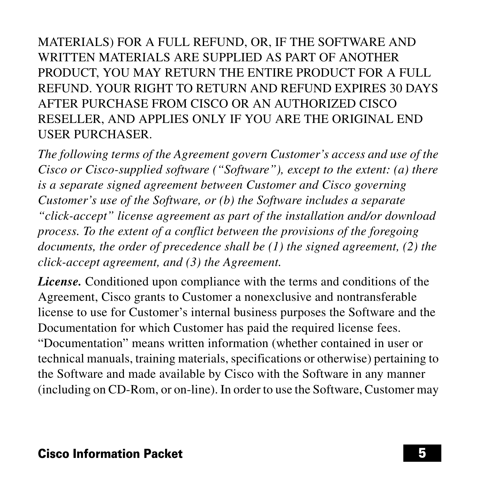MATERIALS) FOR A FULL REFUND, OR, IF THE SOFTWARE AND WRITTEN MATERIALS ARE SUPPLIED AS PART OF ANOTHER PRODUCT, YOU MAY RETURN THE ENTIRE PRODUCT FOR A FULL REFUND. YOUR RIGHT TO RETURN AND REFUND EXPIRES 30 DAYS AFTER PURCHASE FROM CISCO OR AN AUTHORIZED CISCO RESELLER, AND APPLIES ONLY IF YOU ARE THE ORIGINAL END USER PURCHASER.

*The following terms of the Agreement govern Customer's access and use of the Cisco or Cisco-supplied software ("Software"), except to the extent: (a) there is a separate signed agreement between Customer and Cisco governing Customer's use of the Software, or (b) the Software includes a separate "click-accept" license agreement as part of the installation and/or download process. To the extent of a conflict between the provisions of the foregoing documents, the order of precedence shall be (1) the signed agreement, (2) the click-accept agreement, and (3) the Agreement.*

*License.* Conditioned upon compliance with the terms and conditions of the Agreement, Cisco grants to Customer a nonexclusive and nontransferable license to use for Customer's internal business purposes the Software and the Documentation for which Customer has paid the required license fees. "Documentation" means written information (whether contained in user or technical manuals, training materials, specifications or otherwise) pertaining to the Software and made available by Cisco with the Software in any manner (including on CD-Rom, or on-line). In order to use the Software, Customer may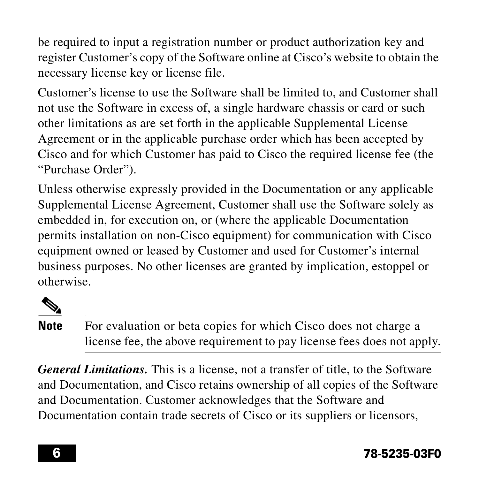be required to input a registration number or product authorization key and register Customer's copy of the Software online at Cisco's website to obtain the necessary license key or license file.

Customer's license to use the Software shall be limited to, and Customer shall not use the Software in excess of, a single hardware chassis or card or such other limitations as are set forth in the applicable Supplemental License Agreement or in the applicable purchase order which has been accepted by Cisco and for which Customer has paid to Cisco the required license fee (the "Purchase Order").

Unless otherwise expressly provided in the Documentation or any applicable Supplemental License Agreement, Customer shall use the Software solely as embedded in, for execution on, or (where the applicable Documentation permits installation on non-Cisco equipment) for communication with Cisco equipment owned or leased by Customer and used for Customer's internal business purposes. No other licenses are granted by implication, estoppel or otherwise.



**Note** For evaluation or beta copies for which Cisco does not charge a license fee, the above requirement to pay license fees does not apply.

*General Limitations.* This is a license, not a transfer of title, to the Software and Documentation, and Cisco retains ownership of all copies of the Software and Documentation. Customer acknowledges that the Software and Documentation contain trade secrets of Cisco or its suppliers or licensors,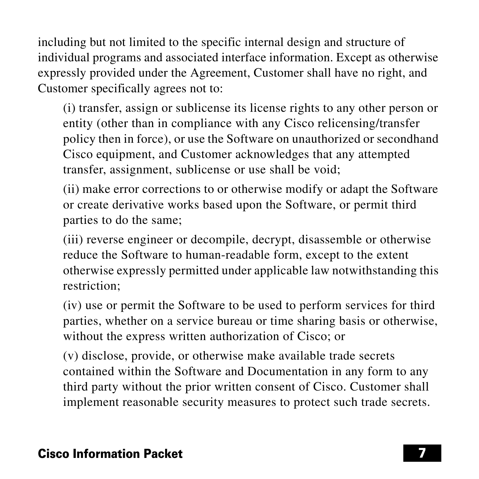including but not limited to the specific internal design and structure of individual programs and associated interface information. Except as otherwise expressly provided under the Agreement, Customer shall have no right, and Customer specifically agrees not to:

(i) transfer, assign or sublicense its license rights to any other person or entity (other than in compliance with any Cisco relicensing/transfer policy then in force), or use the Software on unauthorized or secondhand Cisco equipment, and Customer acknowledges that any attempted transfer, assignment, sublicense or use shall be void;

(ii) make error corrections to or otherwise modify or adapt the Software or create derivative works based upon the Software, or permit third parties to do the same;

(iii) reverse engineer or decompile, decrypt, disassemble or otherwise reduce the Software to human-readable form, except to the extent otherwise expressly permitted under applicable law notwithstanding this restriction;

(iv) use or permit the Software to be used to perform services for third parties, whether on a service bureau or time sharing basis or otherwise, without the express written authorization of Cisco; or

(v) disclose, provide, or otherwise make available trade secrets contained within the Software and Documentation in any form to any third party without the prior written consent of Cisco. Customer shall implement reasonable security measures to protect such trade secrets.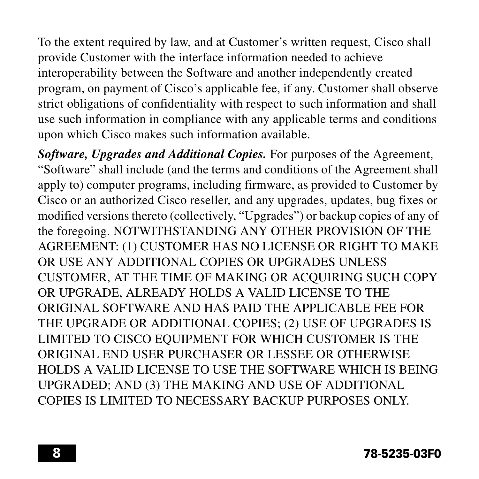To the extent required by law, and at Customer's written request, Cisco shall provide Customer with the interface information needed to achieve interoperability between the Software and another independently created program, on payment of Cisco's applicable fee, if any. Customer shall observe strict obligations of confidentiality with respect to such information and shall use such information in compliance with any applicable terms and conditions upon which Cisco makes such information available.

*Software, Upgrades and Additional Copies.* For purposes of the Agreement, "Software" shall include (and the terms and conditions of the Agreement shall apply to) computer programs, including firmware, as provided to Customer by Cisco or an authorized Cisco reseller, and any upgrades, updates, bug fixes or modified versions thereto (collectively, "Upgrades") or backup copies of any of the foregoing. NOTWITHSTANDING ANY OTHER PROVISION OF THE AGREEMENT: (1) CUSTOMER HAS NO LICENSE OR RIGHT TO MAKE OR USE ANY ADDITIONAL COPIES OR UPGRADES UNLESS CUSTOMER, AT THE TIME OF MAKING OR ACQUIRING SUCH COPY OR UPGRADE, ALREADY HOLDS A VALID LICENSE TO THE ORIGINAL SOFTWARE AND HAS PAID THE APPLICABLE FEE FOR THE UPGRADE OR ADDITIONAL COPIES; (2) USE OF UPGRADES IS LIMITED TO CISCO EQUIPMENT FOR WHICH CUSTOMER IS THE ORIGINAL END USER PURCHASER OR LESSEE OR OTHERWISE HOLDS A VALID LICENSE TO USE THE SOFTWARE WHICH IS BEING UPGRADED; AND (3) THE MAKING AND USE OF ADDITIONAL COPIES IS LIMITED TO NECESSARY BACKUP PURPOSES ONLY.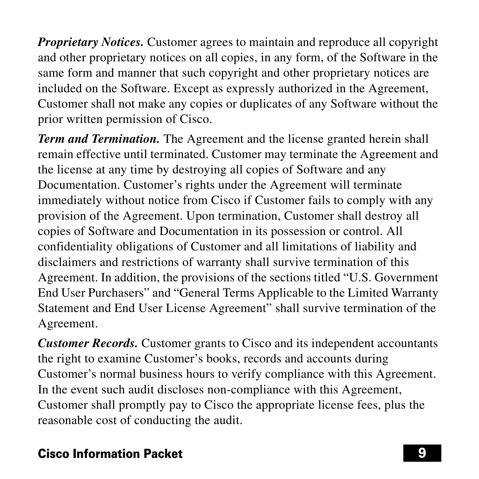*Proprietary Notices.* Customer agrees to maintain and reproduce all copyright and other proprietary notices on all copies, in any form, of the Software in the same form and manner that such copyright and other proprietary notices are included on the Software. Except as expressly authorized in the Agreement, Customer shall not make any copies or duplicates of any Software without the prior written permission of Cisco.

*Term and Termination.* The Agreement and the license granted herein shall remain effective until terminated. Customer may terminate the Agreement and the license at any time by destroying all copies of Software and any Documentation. Customer's rights under the Agreement will terminate immediately without notice from Cisco if Customer fails to comply with any provision of the Agreement. Upon termination, Customer shall destroy all copies of Software and Documentation in its possession or control. All confidentiality obligations of Customer and all limitations of liability and disclaimers and restrictions of warranty shall survive termination of this Agreement. In addition, the provisions of the sections titled "U.S. Government End User Purchasers" and "General Terms Applicable to the Limited Warranty Statement and End User License Agreement" shall survive termination of the Agreement.

*Customer Records.* Customer grants to Cisco and its independent accountants the right to examine Customer's books, records and accounts during Customer's normal business hours to verify compliance with this Agreement. In the event such audit discloses non-compliance with this Agreement, Customer shall promptly pay to Cisco the appropriate license fees, plus the reasonable cost of conducting the audit.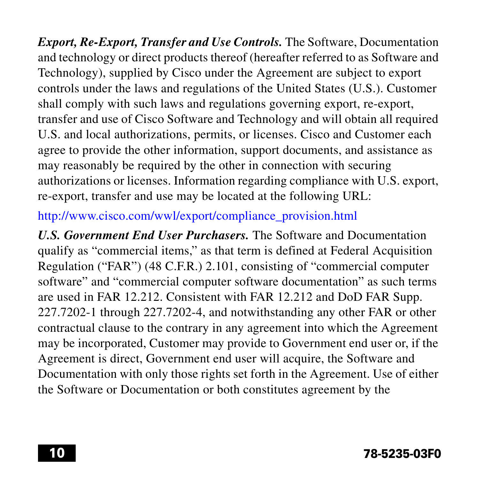*Export, Re-Export, Transfer and Use Controls.* The Software, Documentation and technology or direct products thereof (hereafter referred to as Software and Technology), supplied by Cisco under the Agreement are subject to export controls under the laws and regulations of the United States (U.S.). Customer shall comply with such laws and regulations governing export, re-export, transfer and use of Cisco Software and Technology and will obtain all required U.S. and local authorizations, permits, or licenses. Cisco and Customer each agree to provide the other information, support documents, and assistance as may reasonably be required by the other in connection with securing authorizations or licenses. Information regarding compliance with U.S. export, re-export, transfer and use may be located at the following URL:

#### [http://www.cisco.com/wwl/export/compliance\\_provision.html](http://www.cisco.com/wwl/export/compliance_provision.html)

*U.S. Government End User Purchasers.* The Software and Documentation qualify as "commercial items," as that term is defined at Federal Acquisition Regulation ("FAR") (48 C.F.R.) 2.101, consisting of "commercial computer software" and "commercial computer software documentation" as such terms are used in FAR 12.212. Consistent with FAR 12.212 and DoD FAR Supp. 227.7202-1 through 227.7202-4, and notwithstanding any other FAR or other contractual clause to the contrary in any agreement into which the Agreement may be incorporated, Customer may provide to Government end user or, if the Agreement is direct, Government end user will acquire, the Software and Documentation with only those rights set forth in the Agreement. Use of either the Software or Documentation or both constitutes agreement by the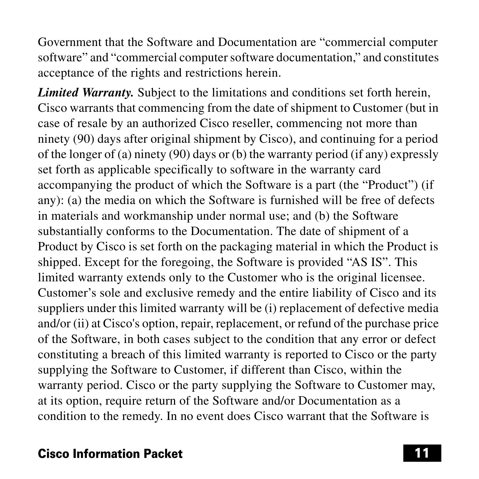Government that the Software and Documentation are "commercial computer software" and "commercial computer software documentation," and constitutes acceptance of the rights and restrictions herein.

*Limited Warranty.* Subject to the limitations and conditions set forth herein, Cisco warrants that commencing from the date of shipment to Customer (but in case of resale by an authorized Cisco reseller, commencing not more than ninety (90) days after original shipment by Cisco), and continuing for a period of the longer of (a) ninety (90) days or (b) the warranty period (if any) expressly set forth as applicable specifically to software in the warranty card accompanying the product of which the Software is a part (the "Product") (if any): (a) the media on which the Software is furnished will be free of defects in materials and workmanship under normal use; and (b) the Software substantially conforms to the Documentation. The date of shipment of a Product by Cisco is set forth on the packaging material in which the Product is shipped. Except for the foregoing, the Software is provided "AS IS". This limited warranty extends only to the Customer who is the original licensee. Customer's sole and exclusive remedy and the entire liability of Cisco and its suppliers under this limited warranty will be (i) replacement of defective media and/or (ii) at Cisco's option, repair, replacement, or refund of the purchase price of the Software, in both cases subject to the condition that any error or defect constituting a breach of this limited warranty is reported to Cisco or the party supplying the Software to Customer, if different than Cisco, within the warranty period. Cisco or the party supplying the Software to Customer may, at its option, require return of the Software and/or Documentation as a condition to the remedy. In no event does Cisco warrant that the Software is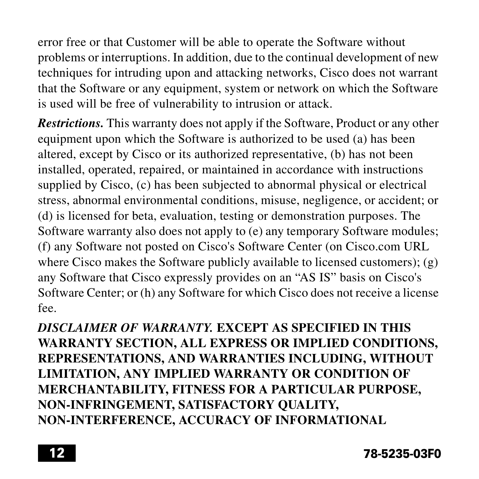error free or that Customer will be able to operate the Software without problems or interruptions. In addition, due to the continual development of new techniques for intruding upon and attacking networks, Cisco does not warrant that the Software or any equipment, system or network on which the Software is used will be free of vulnerability to intrusion or attack.

*Restrictions.* This warranty does not apply if the Software, Product or any other equipment upon which the Software is authorized to be used (a) has been altered, except by Cisco or its authorized representative, (b) has not been installed, operated, repaired, or maintained in accordance with instructions supplied by Cisco, (c) has been subjected to abnormal physical or electrical stress, abnormal environmental conditions, misuse, negligence, or accident; or (d) is licensed for beta, evaluation, testing or demonstration purposes. The Software warranty also does not apply to (e) any temporary Software modules; (f) any Software not posted on Cisco's Software Center (on Cisco.com URL where Cisco makes the Software publicly available to licensed customers); (g) any Software that Cisco expressly provides on an "AS IS" basis on Cisco's Software Center; or (h) any Software for which Cisco does not receive a license fee.

*DISCLAIMER OF WARRANTY.* **EXCEPT AS SPECIFIED IN THIS WARRANTY SECTION, ALL EXPRESS OR IMPLIED CONDITIONS, REPRESENTATIONS, AND WARRANTIES INCLUDING, WITHOUT LIMITATION, ANY IMPLIED WARRANTY OR CONDITION OF MERCHANTABILITY, FITNESS FOR A PARTICULAR PURPOSE, NON-INFRINGEMENT, SATISFACTORY QUALITY, NON-INTERFERENCE, ACCURACY OF INFORMATIONAL**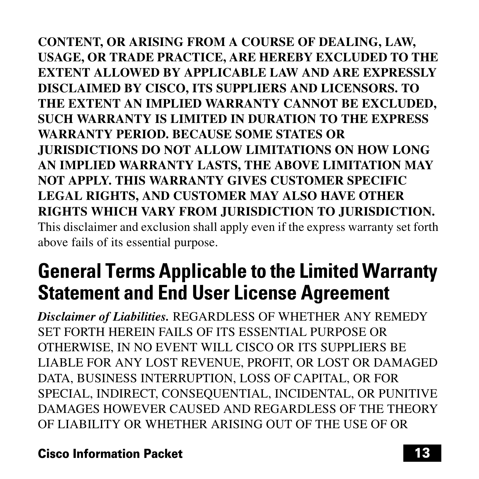**CONTENT, OR ARISING FROM A COURSE OF DEALING, LAW, USAGE, OR TRADE PRACTICE, ARE HEREBY EXCLUDED TO THE EXTENT ALLOWED BY APPLICABLE LAW AND ARE EXPRESSLY DISCLAIMED BY CISCO, ITS SUPPLIERS AND LICENSORS. TO THE EXTENT AN IMPLIED WARRANTY CANNOT BE EXCLUDED, SUCH WARRANTY IS LIMITED IN DURATION TO THE EXPRESS WARRANTY PERIOD. BECAUSE SOME STATES OR JURISDICTIONS DO NOT ALLOW LIMITATIONS ON HOW LONG AN IMPLIED WARRANTY LASTS, THE ABOVE LIMITATION MAY NOT APPLY. THIS WARRANTY GIVES CUSTOMER SPECIFIC LEGAL RIGHTS, AND CUSTOMER MAY ALSO HAVE OTHER RIGHTS WHICH VARY FROM JURISDICTION TO JURISDICTION.** This disclaimer and exclusion shall apply even if the express warranty set forth above fails of its essential purpose.

# **General Terms Applicable to the Limited Warranty Statement and End User License Agreement**

*Disclaimer of Liabilities.* REGARDLESS OF WHETHER ANY REMEDY SET FORTH HEREIN FAILS OF ITS ESSENTIAL PURPOSE OR OTHERWISE, IN NO EVENT WILL CISCO OR ITS SUPPLIERS BE LIABLE FOR ANY LOST REVENUE, PROFIT, OR LOST OR DAMAGED DATA, BUSINESS INTERRUPTION, LOSS OF CAPITAL, OR FOR SPECIAL, INDIRECT, CONSEQUENTIAL, INCIDENTAL, OR PUNITIVE DAMAGES HOWEVER CAUSED AND REGARDLESS OF THE THEORY OF LIABILITY OR WHETHER ARISING OUT OF THE USE OF OR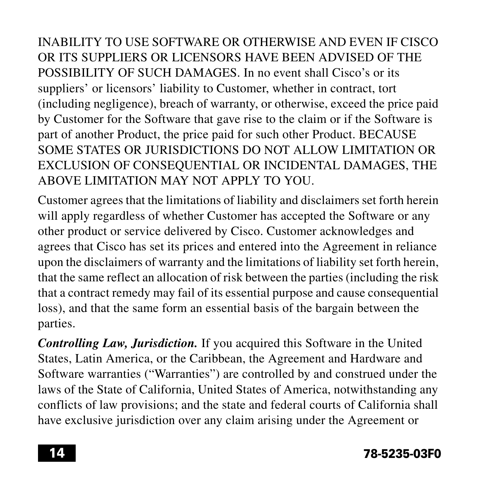INABILITY TO USE SOFTWARE OR OTHERWISE AND EVEN IF CISCO OR ITS SUPPLIERS OR LICENSORS HAVE BEEN ADVISED OF THE POSSIBILITY OF SUCH DAMAGES. In no event shall Cisco's or its suppliers' or licensors' liability to Customer, whether in contract, tort (including negligence), breach of warranty, or otherwise, exceed the price paid by Customer for the Software that gave rise to the claim or if the Software is part of another Product, the price paid for such other Product. BECAUSE SOME STATES OR JURISDICTIONS DO NOT ALLOW LIMITATION OR EXCLUSION OF CONSEQUENTIAL OR INCIDENTAL DAMAGES, THE ABOVE LIMITATION MAY NOT APPLY TO YOU.

Customer agrees that the limitations of liability and disclaimers set forth herein will apply regardless of whether Customer has accepted the Software or any other product or service delivered by Cisco. Customer acknowledges and agrees that Cisco has set its prices and entered into the Agreement in reliance upon the disclaimers of warranty and the limitations of liability set forth herein, that the same reflect an allocation of risk between the parties (including the risk that a contract remedy may fail of its essential purpose and cause consequential loss), and that the same form an essential basis of the bargain between the parties.

*Controlling Law, Jurisdiction.* If you acquired this Software in the United States, Latin America, or the Caribbean, the Agreement and Hardware and Software warranties ("Warranties") are controlled by and construed under the laws of the State of California, United States of America, notwithstanding any conflicts of law provisions; and the state and federal courts of California shall have exclusive jurisdiction over any claim arising under the Agreement or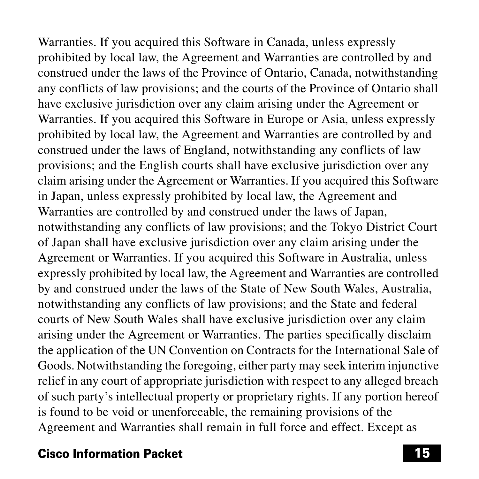Warranties. If you acquired this Software in Canada, unless expressly prohibited by local law, the Agreement and Warranties are controlled by and construed under the laws of the Province of Ontario, Canada, notwithstanding any conflicts of law provisions; and the courts of the Province of Ontario shall have exclusive jurisdiction over any claim arising under the Agreement or Warranties. If you acquired this Software in Europe or Asia, unless expressly prohibited by local law, the Agreement and Warranties are controlled by and construed under the laws of England, notwithstanding any conflicts of law provisions; and the English courts shall have exclusive jurisdiction over any claim arising under the Agreement or Warranties. If you acquired this Software in Japan, unless expressly prohibited by local law, the Agreement and Warranties are controlled by and construed under the laws of Japan, notwithstanding any conflicts of law provisions; and the Tokyo District Court of Japan shall have exclusive jurisdiction over any claim arising under the Agreement or Warranties. If you acquired this Software in Australia, unless expressly prohibited by local law, the Agreement and Warranties are controlled by and construed under the laws of the State of New South Wales, Australia, notwithstanding any conflicts of law provisions; and the State and federal courts of New South Wales shall have exclusive jurisdiction over any claim arising under the Agreement or Warranties. The parties specifically disclaim the application of the UN Convention on Contracts for the International Sale of Goods. Notwithstanding the foregoing, either party may seek interim injunctive relief in any court of appropriate jurisdiction with respect to any alleged breach of such party's intellectual property or proprietary rights. If any portion hereof is found to be void or unenforceable, the remaining provisions of the Agreement and Warranties shall remain in full force and effect. Except as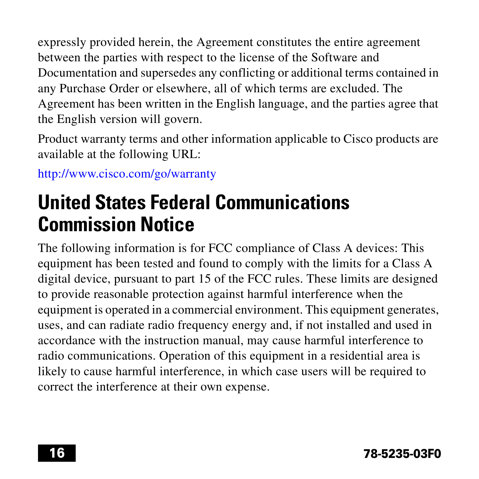expressly provided herein, the Agreement constitutes the entire agreement between the parties with respect to the license of the Software and Documentation and supersedes any conflicting or additional terms contained in any Purchase Order or elsewhere, all of which terms are excluded. The Agreement has been written in the English language, and the parties agree that the English version will govern.

Product warranty terms and other information applicable to Cisco products are available at the following URL:

<http://www.cisco.com/go/warranty>

# **United States Federal Communications Commission Notice**

The following information is for FCC compliance of Class A devices: This equipment has been tested and found to comply with the limits for a Class A digital device, pursuant to part 15 of the FCC rules. These limits are designed to provide reasonable protection against harmful interference when the equipment is operated in a commercial environment. This equipment generates, uses, and can radiate radio frequency energy and, if not installed and used in accordance with the instruction manual, may cause harmful interference to radio communications. Operation of this equipment in a residential area is likely to cause harmful interference, in which case users will be required to correct the interference at their own expense.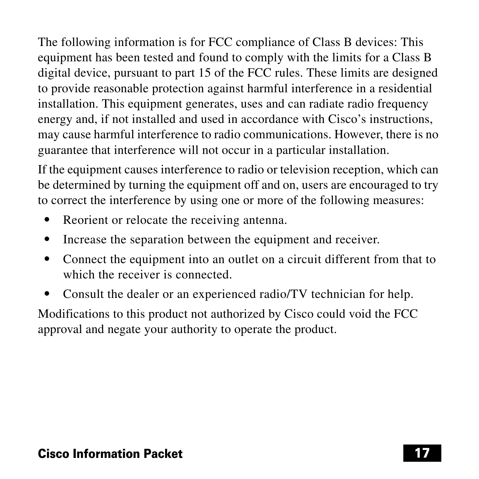The following information is for FCC compliance of Class B devices: This equipment has been tested and found to comply with the limits for a Class B digital device, pursuant to part 15 of the FCC rules. These limits are designed to provide reasonable protection against harmful interference in a residential installation. This equipment generates, uses and can radiate radio frequency energy and, if not installed and used in accordance with Cisco's instructions, may cause harmful interference to radio communications. However, there is no guarantee that interference will not occur in a particular installation.

If the equipment causes interference to radio or television reception, which can be determined by turning the equipment off and on, users are encouraged to try to correct the interference by using one or more of the following measures:

- **•** Reorient or relocate the receiving antenna.
- **•** Increase the separation between the equipment and receiver.
- **•** Connect the equipment into an outlet on a circuit different from that to which the receiver is connected.
- **•** Consult the dealer or an experienced radio/TV technician for help.

Modifications to this product not authorized by Cisco could void the FCC approval and negate your authority to operate the product.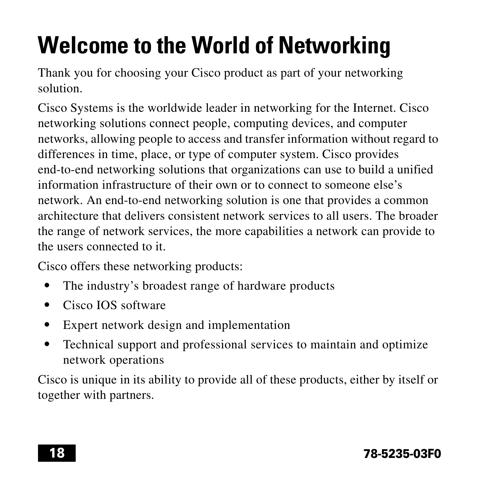# **Welcome to the World of Networking**

Thank you for choosing your Cisco product as part of your networking solution.

Cisco Systems is the worldwide leader in networking for the Internet. Cisco networking solutions connect people, computing devices, and computer networks, allowing people to access and transfer information without regard to differences in time, place, or type of computer system. Cisco provides end-to-end networking solutions that organizations can use to build a unified information infrastructure of their own or to connect to someone else's network. An end-to-end networking solution is one that provides a common architecture that delivers consistent network services to all users. The broader the range of network services, the more capabilities a network can provide to the users connected to it.

Cisco offers these networking products:

- **•** The industry's broadest range of hardware products
- **•** Cisco IOS software
- **•** Expert network design and implementation
- **•** Technical support and professional services to maintain and optimize network operations

Cisco is unique in its ability to provide all of these products, either by itself or together with partners.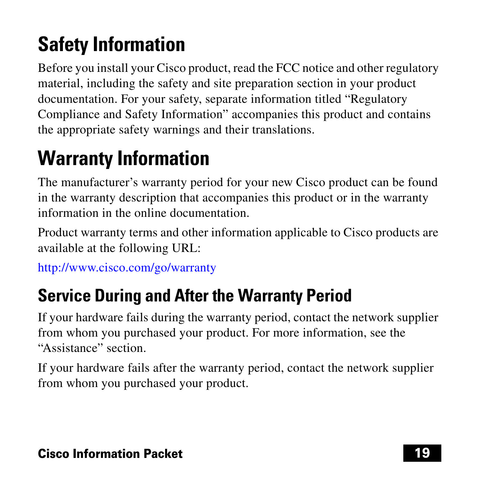# **Safety Information**

Before you install your Cisco product, read the FCC notice and other regulatory material, including the safety and site preparation section in your product documentation. For your safety, separate information titled "Regulatory Compliance and Safety Information" accompanies this product and contains the appropriate safety warnings and their translations.

# **Warranty Information**

The manufacturer's warranty period for your new Cisco product can be found in the warranty description that accompanies this product or in the warranty information in the online documentation.

Product warranty terms and other information applicable to Cisco products are available at the following URL:

<http://www.cisco.com/go/warranty>

# **Service During and After the Warranty Period**

If your hardware fails during the warranty period, contact the network supplier from whom you purchased your product. For more information, see the "Assistance" section.

If your hardware fails after the warranty period, contact the network supplier from whom you purchased your product.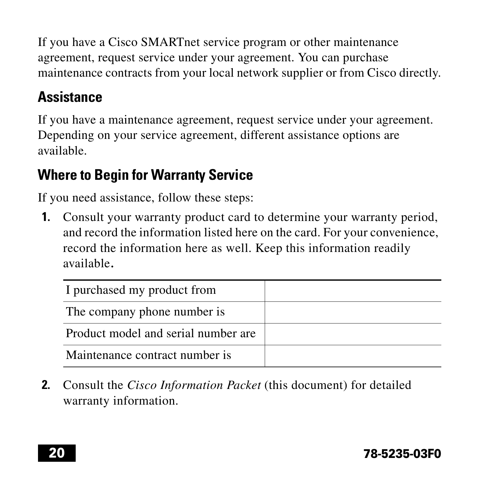If you have a Cisco SMARTnet service program or other maintenance agreement, request service under your agreement. You can purchase maintenance contracts from your local network supplier or from Cisco directly.

## **Assistance**

If you have a maintenance agreement, request service under your agreement. Depending on your service agreement, different assistance options are available.

## **Where to Begin for Warranty Service**

If you need assistance, follow these steps:

<span id="page-19-0"></span>**1.** Consult your warranty product card to determine your warranty period, and record the information listed here on the card. For your convenience, record the information here as well. Keep this information readily available.

| I purchased my product from         |  |
|-------------------------------------|--|
| The company phone number is         |  |
| Product model and serial number are |  |
| Maintenance contract number is      |  |

**2.** Consult the *Cisco Information Packet* (this document) for detailed warranty information.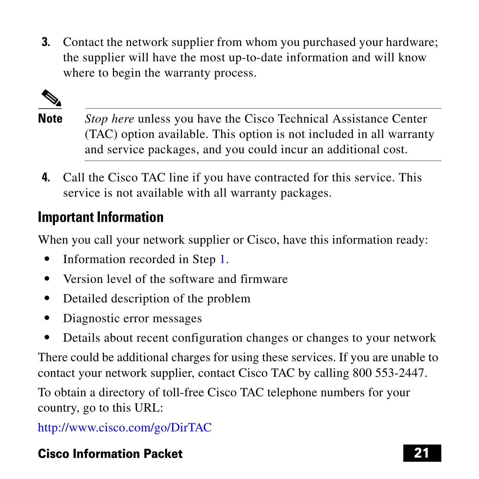**3.** Contact the network supplier from whom you purchased your hardware; the supplier will have the most up-to-date information and will know where to begin the warranty process.



- **Note** *Stop here* unless you have the Cisco Technical Assistance Center (TAC) option available. This option is not included in all warranty and service packages, and you could incur an additional cost.
- **4.** Call the Cisco TAC line if you have contracted for this service. This service is not available with all warranty packages.

## **Important Information**

When you call your network supplier or Cisco, have this information ready:

- Information recorded in Step [1.](#page-19-0)
- **•** Version level of the software and firmware
- **•** Detailed description of the problem
- **•** Diagnostic error messages
- **•** Details about recent configuration changes or changes to your network

There could be additional charges for using these services. If you are unable to contact your network supplier, contact Cisco TAC by calling 800 553-2447.

To obtain a directory of toll-free Cisco TAC telephone numbers for your country, go to this URL:

<http://www.cisco.com/go/DirTAC>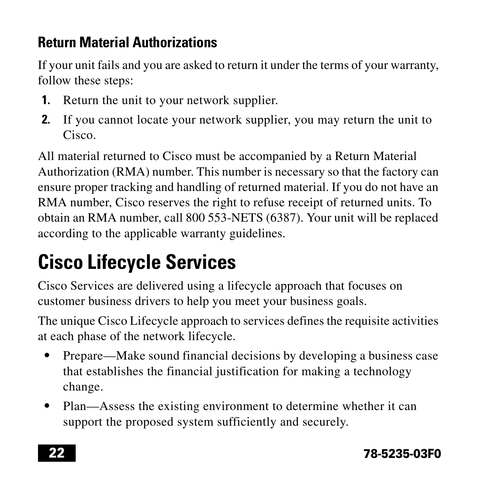## **Return Material Authorizations**

If your unit fails and you are asked to return it under the terms of your warranty, follow these steps:

- **1.** Return the unit to your network supplier.
- **2.** If you cannot locate your network supplier, you may return the unit to Cisco.

All material returned to Cisco must be accompanied by a Return Material Authorization (RMA) number. This number is necessary so that the factory can ensure proper tracking and handling of returned material. If you do not have an RMA number, Cisco reserves the right to refuse receipt of returned units. To obtain an RMA number, call 800 553-NETS (6387). Your unit will be replaced according to the applicable warranty guidelines.

# **Cisco Lifecycle Services**

Cisco Services are delivered using a lifecycle approach that focuses on customer business drivers to help you meet your business goals.

The unique Cisco Lifecycle approach to services defines the requisite activities at each phase of the network lifecycle.

- **•** Prepare—Make sound financial decisions by developing a business case that establishes the financial justification for making a technology change.
- Plan—Assess the existing environment to determine whether it can support the proposed system sufficiently and securely.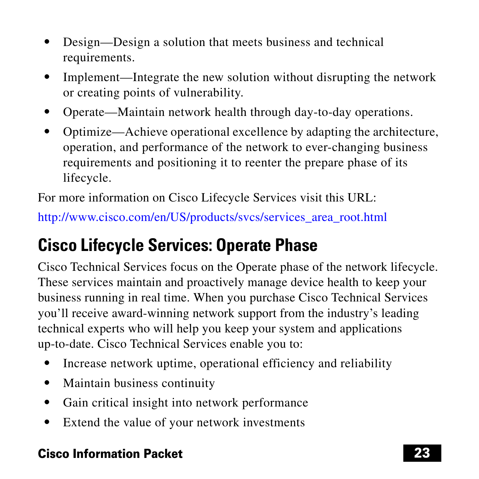- **•** Design—Design a solution that meets business and technical requirements.
- **•** Implement—Integrate the new solution without disrupting the network or creating points of vulnerability.
- **•** Operate—Maintain network health through day-to-day operations.
- **•** Optimize—Achieve operational excellence by adapting the architecture, operation, and performance of the network to ever-changing business requirements and positioning it to reenter the prepare phase of its lifecycle.

For more information on Cisco Lifecycle Services visit this URL:

[http://www.cisco.com/en/US/products/svcs/services\\_area\\_root.html](http://www.cisco.com/en/US/products/svcs/services_area_root.html)

# **Cisco Lifecycle Services: Operate Phase**

Cisco Technical Services focus on the Operate phase of the network lifecycle. These services maintain and proactively manage device health to keep your business running in real time. When you purchase Cisco Technical Services you'll receive award-winning network support from the industry's leading technical experts who will help you keep your system and applications up-to-date. Cisco Technical Services enable you to:

- **•** Increase network uptime, operational efficiency and reliability
- **•** Maintain business continuity
- **•** Gain critical insight into network performance
- **•** Extend the value of your network investments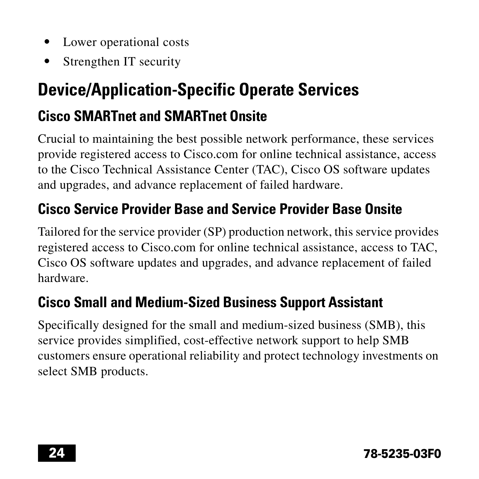- **•** Lower operational costs
- **•** Strengthen IT security

# **Device/Application-Specific Operate Services**

## **Cisco SMARTnet and SMARTnet Onsite**

Crucial to maintaining the best possible network performance, these services provide registered access to Cisco.com for online technical assistance, access to the Cisco Technical Assistance Center (TAC), Cisco OS software updates and upgrades, and advance replacement of failed hardware.

## **Cisco Service Provider Base and Service Provider Base Onsite**

Tailored for the service provider (SP) production network, this service provides registered access to Cisco.com for online technical assistance, access to TAC, Cisco OS software updates and upgrades, and advance replacement of failed hardware.

## **Cisco Small and Medium-Sized Business Support Assistant**

Specifically designed for the small and medium-sized business (SMB), this service provides simplified, cost-effective network support to help SMB customers ensure operational reliability and protect technology investments on select SMB products.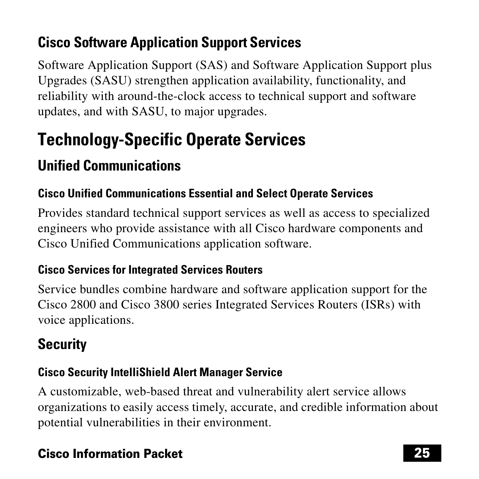# **Cisco Software Application Support Services**

Software Application Support (SAS) and Software Application Support plus Upgrades (SASU) strengthen application availability, functionality, and reliability with around-the-clock access to technical support and software updates, and with SASU, to major upgrades.

# **Technology-Specific Operate Services**

## **Unified Communications**

### **Cisco Unified Communications Essential and Select Operate Services**

Provides standard technical support services as well as access to specialized engineers who provide assistance with all Cisco hardware components and Cisco Unified Communications application software.

### **Cisco Services for Integrated Services Routers**

Service bundles combine hardware and software application support for the Cisco 2800 and Cisco 3800 series Integrated Services Routers (ISRs) with voice applications.

# **Security**

### **Cisco Security IntelliShield Alert Manager Service**

A customizable, web-based threat and vulnerability alert service allows organizations to easily access timely, accurate, and credible information about potential vulnerabilities in their environment.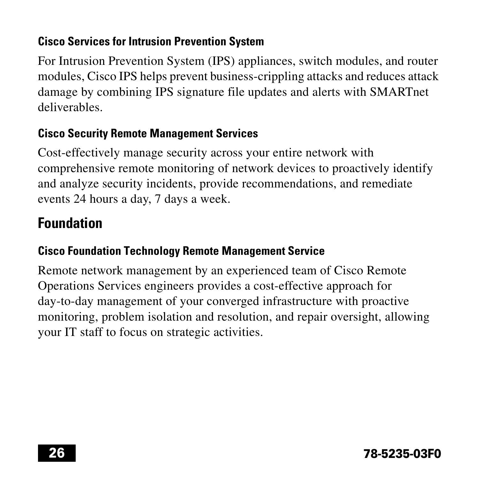### **Cisco Services for Intrusion Prevention System**

For Intrusion Prevention System (IPS) appliances, switch modules, and router modules, Cisco IPS helps prevent business-crippling attacks and reduces attack damage by combining IPS signature file updates and alerts with SMARTnet deliverables.

### **Cisco Security Remote Management Services**

Cost-effectively manage security across your entire network with comprehensive remote monitoring of network devices to proactively identify and analyze security incidents, provide recommendations, and remediate events 24 hours a day, 7 days a week.

## **Foundation**

### **Cisco Foundation Technology Remote Management Service**

Remote network management by an experienced team of Cisco Remote Operations Services engineers provides a cost-effective approach for day-to-day management of your converged infrastructure with proactive monitoring, problem isolation and resolution, and repair oversight, allowing your IT staff to focus on strategic activities.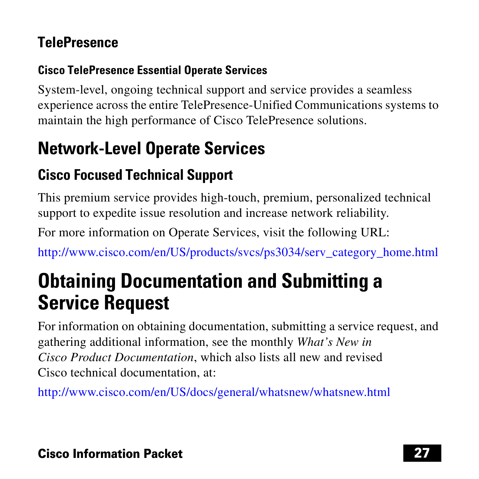## **TelePresence**

### **Cisco TelePresence Essential Operate Services**

System-level, ongoing technical support and service provides a seamless experience across the entire TelePresence-Unified Communications systems to maintain the high performance of Cisco TelePresence solutions.

# **Network-Level Operate Services**

## **Cisco Focused Technical Support**

This premium service provides high-touch, premium, personalized technical support to expedite issue resolution and increase network reliability.

For more information on Operate Services, visit the following URL:

[http://www.cisco.com/en/US/products/svcs/ps3034/serv\\_category\\_home.html](http://www.cisco.com/en/US/products/svcs/ps3034/serv_category_home.html)

# **Obtaining Documentation and Submitting a Service Request**

For information on obtaining documentation, submitting a service request, and gathering additional information, see the monthly *What's New in Cisco Product Documentation*, which also lists all new and revised Cisco technical documentation, at:

<http://www.cisco.com/en/US/docs/general/whatsnew/whatsnew.html>